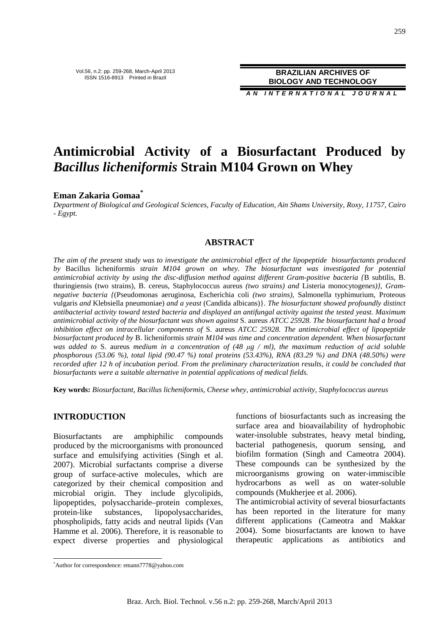**A N I N T E R N A T I O N A L J O U R N A L**

# **Antimicrobial Activity of a Biosurfactant Produced by** *Bacillus licheniformis* **Strain M104 Grown on Whey**

# **Eman Zakaria Gomaa\***

*Department of Biological and Geological Sciences, Faculty of Education, Ain Shams University, Roxy, 11757, Cairo - Egypt.* 

## **ABSTRACT**

*The aim of the present study was to investigate the antimicrobial effect of the lipopeptide biosurfactants produced by* Bacillus licheniformis *strain M104 grown on whey. The biosurfactant was investigated for potential antimicrobial activity by using the disc-diffusion method against different Gram-positive bacteria {*B subtilis, B. thuringiensis (two strains), B. cereus, Staphylococcus aureus *(two strains) and* Listeria monocytogen*es)}, Gramnegative bacteria {*(Pseudomonas aeruginosa, Escherichia coli *(two strains),* Salmonella typhimurium, Proteous vulgaris *and* Klebsiella pneumoniae) *and a yeast* (Candida albicans)}. *The biosurfactant showed profoundly distinct antibacterial activity toward tested bacteria and displayed an antifungal activity against the tested yeast. Maximum antimicrobial activity of the biosurfactant was shown against* S. aureus *ATCC 25928. The biosurfactant had a broad inhibition effect on intracellular components of* S. aureus *ATCC 25928. The antimicrobial effect of lipopeptide biosurfactant produced by* B. licheniformis *strain M104 was time and concentration dependent. When biosurfactant was added to* S. aureus *medium in a concentration of (48 µg / ml), the maximum reduction of acid soluble phosphorous (53.06 %), total lipid (90.47 %) total proteins (53.43%), RNA (83.29 %) and DNA (48.50%) were recorded after 12 h of incubation period. From the preliminary characterization results, it could be concluded that biosurfactants were a suitable alternative in potential applications of medical fields.* 

**Key words:** *Biosurfactant, Bacillus licheniformis, Cheese whey, antimicrobial activity, Staphylococcus aureus*

# **INTRODUCTION**

 $\overline{a}$ 

Biosurfactants are amphiphilic compounds produced by the microorganisms with pronounced surface and emulsifying activities (Singh et al. 2007). Microbial surfactants comprise a diverse group of surface-active molecules, which are categorized by their chemical composition and microbial origin. They include glycolipids, lipopeptides, polysaccharide–protein complexes, protein-like substances, lipopolysaccharides, phospholipids, fatty acids and neutral lipids (Van Hamme et al. 2006). Therefore, it is reasonable to expect diverse properties and physiological

functions of biosurfactants such as increasing the surface area and bioavailability of hydrophobic water-insoluble substrates, heavy metal binding, bacterial pathogenesis, quorum sensing, and biofilm formation (Singh and Cameotra 2004). These compounds can be synthesized by the microorganisms growing on water-immiscible hydrocarbons as well as on water-soluble compounds (Mukherjee et al. 2006).

The antimicrobial activity of several biosurfactants has been reported in the literature for many different applications (Cameotra and Makkar 2004). Some biosurfactants are known to have therapeutic applications as antibiotics and

<sup>\*</sup>Author for correspondence: emann7778@yahoo.com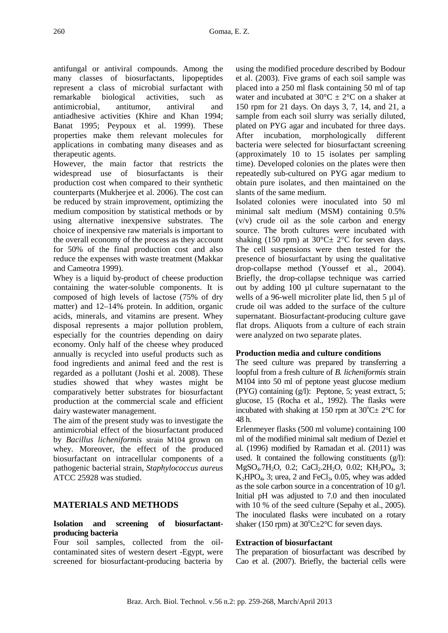antifungal or antiviral compounds. Among the many classes of biosurfactants, lipopeptides represent a class of microbial surfactant with remarkable biological activities, such as antimicrobial, antitumor, antiviral and antiadhesive activities (Khire and Khan 1994; Banat 1995; Peypoux et al. 1999). These properties make them relevant molecules for applications in combating many diseases and as therapeutic agents.

However, the main factor that restricts the widespread use of biosurfactants is their production cost when compared to their synthetic counterparts (Mukherjee et al. 2006). The cost can be reduced by strain improvement, optimizing the medium composition by statistical methods or by using alternative inexpensive substrates. The choice of inexpensive raw materials is important to the overall economy of the process as they account for 50% of the final production cost and also reduce the expenses with waste treatment (Makkar and Cameotra 1999).

Whey is a liquid by-product of cheese production containing the water-soluble components. It is composed of high levels of lactose (75% of dry matter) and 12–14% protein. In addition, organic acids, minerals, and vitamins are present. Whey disposal represents a major pollution problem, especially for the countries depending on dairy economy. Only half of the cheese whey produced annually is recycled into useful products such as food ingredients and animal feed and the rest is regarded as a pollutant (Joshi et al. 2008). These studies showed that whey wastes might be comparatively better substrates for biosurfactant production at the commercial scale and efficient dairy wastewater management.

The aim of the present study was to investigate the antimicrobial effect of the biosurfactant produced by *Bacillus licheniformis* strain M104 grown on whey. Moreover, the effect of the produced biosurfactant on intracellular components of a pathogenic bacterial strain, *Staphylococcus aureus* ATCC 25928 was studied.

# **MATERIALS AND METHODS**

#### **Isolation and screening of biosurfactantproducing bacteria**

Four soil samples, collected from the oilcontaminated sites of western desert -Egypt, were screened for biosurfactant-producing bacteria by using the modified procedure described by Bodour et al. (2003). Five grams of each soil sample was placed into a 250 ml flask containing 50 ml of tap water and incubated at  $30^{\circ}$ C  $\pm$  2°C on a shaker at 150 rpm for 21 days. On days 3, 7, 14, and 21, a sample from each soil slurry was serially diluted, plated on PYG agar and incubated for three days. After incubation, morphologically different bacteria were selected for biosurfactant screening (approximately 10 to 15 isolates per sampling time). Developed colonies on the plates were then repeatedly sub-cultured on PYG agar medium to obtain pure isolates, and then maintained on the slants of the same medium.

Isolated colonies were inoculated into 50 ml minimal salt medium (MSM) containing 0.5% (v/v) crude oil as the sole carbon and energy source. The broth cultures were incubated with shaking (150 rpm) at  $30^{\circ}$ C $\pm$  2°C for seven days. The cell suspensions were then tested for the presence of biosurfactant by using the qualitative drop-collapse method (Youssef et al., 2004). Briefly, the drop-collapse technique was carried out by adding 100 µl culture supernatant to the wells of a 96-well microliter plate lid, then 5 µl of crude oil was added to the surface of the culture supernatant. Biosurfactant-producing culture gave flat drops. Aliquots from a culture of each strain were analyzed on two separate plates.

#### **Production media and culture conditions**

The seed culture was prepared by transferring a loopful from a fresh culture of *B. licheniformis* strain M104 into 50 ml of peptone yeast glucose medium (PYG) containing (g/l): Peptone, 5; yeast extract, 5; glucose, 15 (Rocha et al., 1992). The flasks were incubated with shaking at 150 rpm at  $30^{\circ}C \pm 2^{\circ}C$  for 48 h.

Erlenmeyer flasks (500 ml volume) containing 100 ml of the modified minimal salt medium of Deziel et al*.* (1996) modified by Ramadan et al. (2011) was used. It contained the following constituents  $(g/1)$ :  $MgSO_4$ .7H<sub>2</sub>O, 0.2; CaCl<sub>2</sub>.2H<sub>2</sub>O, 0.02; KH<sub>2</sub>PO<sub>4</sub>, 3;  $K_2HPO_4$ , 3; urea, 2 and FeCl<sub>3</sub>, 0.05, whey was added as the sole carbon source in a concentration of 10 g/l. Initial pH was adjusted to 7.0 and then inoculated with 10 % of the seed culture (Sepahy et al., 2005). The inoculated flasks were incubated on a rotary shaker (150 rpm) at  $30^{\circ}$ C $\pm$ 2°C for seven days.

#### **Extraction of biosurfactant**

The preparation of biosurfactant was described by Cao et al. (2007). Briefly, the bacterial cells were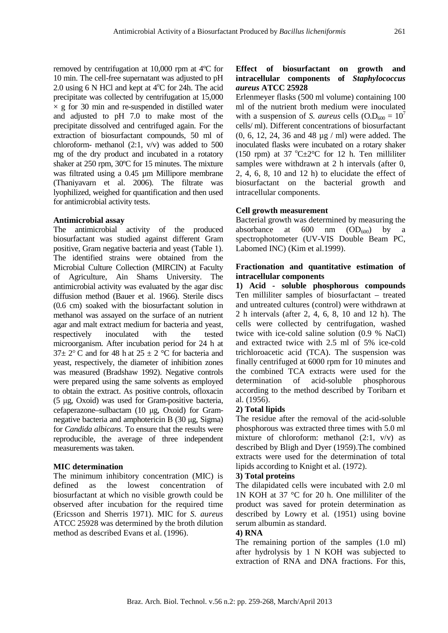removed by centrifugation at 10,000 rpm at 4ºC for 10 min. The cell-free supernatant was adjusted to pH 2.0 using  $6$  N HCl and kept at  $4^{\circ}$ C for 24h. The acid precipitate was collected by centrifugation at 15,000  $\times$  g for 30 min and re-suspended in distilled water and adjusted to pH 7.0 to make most of the precipitate dissolved and centrifuged again. For the extraction of biosurfactant compounds, 50 ml of chloroform- methanol (2:1, v/v) was added to 500 mg of the dry product and incubated in a rotatory shaker at 250 rpm, 30ºC for 15 minutes. The mixture was filtrated using a 0.45 µm Millipore membrane (Thaniyavarn et al. 2006). The filtrate was lyophilized, weighed for quantification and then used for antimicrobial activity tests.

#### **Antimicrobial assay**

The antimicrobial activity of the produced biosurfactant was studied against different Gram positive, Gram negative bacteria and yeast (Table 1). The identified strains were obtained from the Microbial Culture Collection (MIRCIN) at Faculty of Agriculture, Ain Shams University. The antimicrobial activity was evaluated by the agar disc diffusion method (Bauer et al. 1966). Sterile discs (0.6 cm) soaked with the biosurfactant solution in methanol was assayed on the surface of an nutrient agar and malt extract medium for bacteria and yeast, respectively inoculated with the tested microorganism. After incubation period for 24 h at  $37\pm 2^{\circ}$  C and for 48 h at  $25 \pm 2^{\circ}$ C for bacteria and yeast, respectively, the diameter of inhibition zones was measured (Bradshaw 1992). Negative controls were prepared using the same solvents as employed to obtain the extract. As positive controls, ofloxacin (5 µg, Oxoid) was used for Gram-positive bacteria, cefaperazone–sulbactam (10 µg, Oxoid) for Gramnegative bacteria and amphotericin B (30 µg, Sigma) for *Candida albicans*. To ensure that the results were reproducible, the average of three independent measurements was taken.

#### **MIC determination**

The minimum inhibitory concentration (MIC) is defined as the lowest concentration of biosurfactant at which no visible growth could be observed after incubation for the required time (Ericsson and Sherris 1971). MIC for *S. aureus* ATCC 25928 was determined by the broth dilution method as described Evans et al. (1996).

#### **Effect of biosurfactant on growth and intracellular components of** *Staphylococcus aureus* **ATCC 25928**

Erlenmeyer flasks (500 ml volume) containing 100 ml of the nutrient broth medium were inoculated with a suspension of *S. aureus* cells  $(O.D<sub>600</sub> = 10<sup>7</sup>$ cells/ ml). Different concentrations of biosurfactant (0, 6, 12, 24, 36 and 48 µg / ml) were added. The inoculated flasks were incubated on a rotary shaker (150 rpm) at 37  $^{\circ}$ C $\pm$ 2 $^{\circ}$ C for 12 h. Ten milliliter samples were withdrawn at 2 h intervals (after 0, 2, 4, 6, 8, 10 and 12 h) to elucidate the effect of biosurfactant on the bacterial growth and intracellular components.

## **Cell growth measurement**

Bacterial growth was determined by measuring the absorbance at  $600 \text{ nm}$   $(OD_{600})$  by spectrophotometer (UV-VIS Double Beam PC, Labomed INC) (Kim et al.1999).

#### **Fractionation and quantitative estimation of intracellular components**

**1) Acid - soluble phosphorous compounds** Ten milliliter samples of biosurfactant – treated and untreated cultures (control) were withdrawn at 2 h intervals (after 2, 4, 6, 8, 10 and 12 h). The cells were collected by centrifugation, washed twice with ice-cold saline solution (0.9 % NaCl) and extracted twice with 2.5 ml of 5% ice-cold trichloroacetic acid (TCA). The suspension was finally centrifuged at 6000 rpm for 10 minutes and the combined TCA extracts were used for the determination of acid-soluble phosphorous according to the method described by Toribarn et al*.* (1956).

# **2) Total lipids**

The residue after the removal of the acid-soluble phosphorous was extracted three times with 5.0 ml mixture of chloroform: methanol  $(2:1, v/v)$  as described by Bligh and Dyer (1959).The combined extracts were used for the determination of total lipids according to Knight et al. (1972).

#### **3) Total proteins**

The dilapidated cells were incubated with 2.0 ml 1N KOH at 37 °C for 20 h. One milliliter of the product was saved for protein determination as described by Lowry et al*.* (1951) using bovine serum albumin as standard.

#### **4) RNA**

The remaining portion of the samples (1.0 ml) after hydrolysis by 1 N KOH was subjected to extraction of RNA and DNA fractions. For this,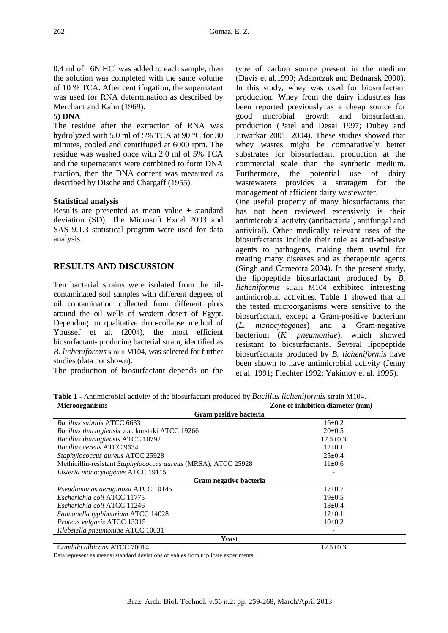0.4 ml of 6N HCl was added to each sample, then the solution was completed with the same volume of 10 % TCA. After centrifugation, the supernatant was used for RNA determination as described by Merchant and Kahn (1969).

## **5) DNA**

The residue after the extraction of RNA was hydrolyzed with 5.0 ml of 5% TCA at 90 °C for 30 minutes, cooled and centrifuged at 6000 rpm. The residue was washed once with 2.0 ml of 5% TCA and the supernatants were combined to form DNA fraction, then the DNA content was measured as described by Dische and Chargaff (1955).

## **Statistical analysis**

Results are presented as mean value  $\pm$  standard deviation (SD). The Microsoft Excel 2003 and SAS 9.1.3 statistical program were used for data analysis.

# **RESULTS AND DISCUSSION**

Ten bacterial strains were isolated from the oilcontaminated soil samples with different degrees of oil contamination collected from different plots around the oil wells of western desert of Egypt. Depending on qualitative drop-collapse method of Youssef et al. (2004), the most efficient biosurfactant- producing bacterial strain, identified as *B. licheniformis* strain M104, was selected for further studies (data not shown).

The production of biosurfactant depends on the

type of carbon source present in the medium (Davis et al*.*1999; Adamczak and Bednarsk 2000). In this study, whey was used for biosurfactant production. Whey from the dairy industries has been reported previously as a cheap source for good microbial growth and biosurfactant production (Patel and Desai 1997; Dubey and Juwarkar 2001; 2004). These studies showed that whey wastes might be comparatively better substrates for biosurfactant production at the commercial scale than the synthetic medium. Furthermore, the potential use of dairy wastewaters provides a stratagem for the management of efficient dairy wastewater.

One useful property of many biosurfactants that has not been reviewed extensively is their antimicrobial activity (antibacterial, antifungal and antiviral). Other medically relevant uses of the biosurfactants include their role as anti-adhesive agents to pathogens, making them useful for treating many diseases and as therapeutic agents (Singh and Cameotra 2004). In the present study, the lipopeptide biosurfactant produced by *B. licheniformis* strain M104 exhibited interesting antimicrobial activities. Table 1 showed that all the tested microorganisms were sensitive to the biosurfactant, except a Gram-positive bacterium (*L. monocytogenes*) and a Gram-negative bacterium (*K. pneumoniae*), which showed resistant to biosurfactants. Several lipopeptide biosurfactants produced by *B. licheniformis* have been shown to have antimicrobial activity (Jenny et al. 1991; Fiechter 1992; Yakimov et al. 1995).

**Table 1 -** Antimicrobial activity of the biosurfactant produced by *Bacillus licheniformis* strain M104.

| <b>Microorganisms</b>                                          | Zone of inhibition diameter (mm) |
|----------------------------------------------------------------|----------------------------------|
| Gram positive bacteria                                         |                                  |
| Bacillus subtilis ATCC 6633                                    | $16 \pm 0.2$                     |
| Bacillus thuringiensis var. kurstaki ATCC 19266                | $20 \pm 0.5$                     |
| Bacillus thuringiensis ATCC 10792                              | $17.5 \pm 0.3$                   |
| Bacillus cereus ATCC 9634                                      | $12+0.1$                         |
| Staphylococcus aureus ATCC 25928                               | $25 \pm 0.4$                     |
| Methicillin-resistant Staphylococcus aureus (MRSA), ATCC 25928 | $11 \pm 0.6$                     |
| Listeria monocytogenes ATCC 19115                              |                                  |
| Gram negative bacteria                                         |                                  |
| Pseudomonas aeruginosa ATCC 10145                              | $17+0.7$                         |
| Escherichia coli ATCC 11775                                    | $19 \pm 0.5$                     |
| Escherichia coli ATCC 11246                                    | $18 + 0.4$                       |
| Salmonella typhimurium ATCC 14028                              | $12+0.1$                         |
| Proteus vulgaris ATCC 13315                                    | $10+0.2$                         |
| Klebsiella pneumoniae ATCC 10031                               |                                  |
| Yeast                                                          |                                  |
| Candida albicans ATCC 70014                                    | $12.5 \pm 0.3$                   |

Data represent as means±standard deviations of values from triplicate experiments.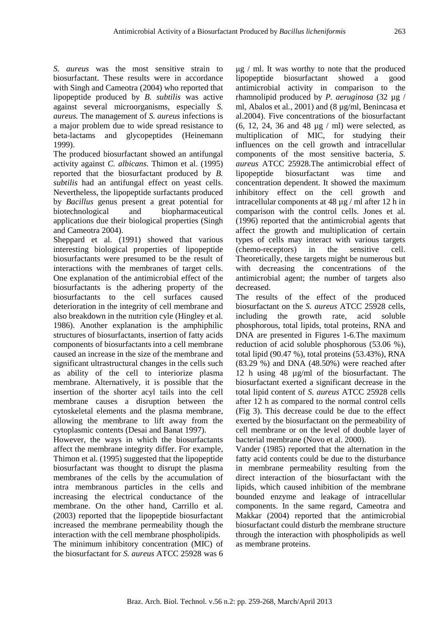*S. aureus* was the most sensitive strain to biosurfactant. These results were in accordance with Singh and Cameotra (2004) who reported that lipopeptide produced by *B. subtilis* was active against several microorganisms, especially *S. aureus.* The management of *S. aureus* infections is a major problem due to wide spread resistance to beta-lactams and glycopeptides (Heinemann 1999).

The produced biosurfactant showed an antifungal activity against *C. albicans*. Thimon et al. (1995) reported that the biosurfactant produced by *B. subtilis* had an antifungal effect on yeast cells. Nevertheless, the lipopeptide surfactants produced by *Bacillus* genus present a great potential for biotechnological and biopharmaceutical applications due their biological properties (Singh and Cameotra 2004).

Sheppard et al. (1991) showed that various interesting biological properties of lipopeptide biosurfactants were presumed to be the result of interactions with the membranes of target cells. One explanation of the antimicrobial effect of the biosurfactants is the adhering property of the biosurfactants to the cell surfaces caused deterioration in the integrity of cell membrane and also breakdown in the nutrition cyle (Hingley et al*.* 1986). Another explanation is the amphiphilic structures of biosurfactants, insertion of fatty acids components of biosurfactants into a cell membrane caused an increase in the size of the membrane and significant ultrastructural changes in the cells such as ability of the cell to interiorize plasma membrane. Alternatively, it is possible that the insertion of the shorter acyl tails into the cell membrane causes a disruption between the cytoskeletal elements and the plasma membrane, allowing the membrane to lift away from the cytoplasmic contents (Desai and Banat 1997).

However, the ways in which the biosurfactants affect the membrane integrity differ. For example, Thimon et al. (1995) suggested that the lipopeptide biosurfactant was thought to disrupt the plasma membranes of the cells by the accumulation of intra membranous particles in the cells and increasing the electrical conductance of the membrane. On the other hand, Carrillo et al. (2003) reported that the lipopeptide biosurfactant increased the membrane permeability though the interaction with the cell membrane phospholipids.

The minimum inhibitory concentration (MIC) of the biosurfactant for *S. aureus* ATCC 25928 was 6

 $\mu$ g / ml. It was worthy to note that the produced lipopeptide biosurfactant showed a good antimicrobial activity in comparison to the rhamnolipid produced by *P. aeruginosa* (32 µg / ml, Abalos et al*.*, 2001) and (8 µg/ml, Benincasa et al.2004). Five concentrations of the biosurfactant (6, 12, 24, 36 and 48 µg / ml) were selected, as multiplication of MIC, for studying their influences on the cell growth and intracellular components of the most sensitive bacteria, *S. aureus* ATCC 25928.The antimicrobial effect of lipopeptide biosurfactant was time and concentration dependent. It showed the maximum inhibitory effect on the cell growth and intracellular components at 48 µg / ml after 12 h in comparison with the control cells. Jones et al*.*  (1996) reported that the antimicrobial agents that affect the growth and multiplication of certain types of cells may interact with various targets (chemo-receptors) in the sensitive cell. Theoretically, these targets might be numerous but with decreasing the concentrations of the antimicrobial agent; the number of targets also decreased.

The results of the effect of the produced biosurfactant on the *S. aureus* ATCC 25928 cells, including the growth rate, acid soluble phosphorous, total lipids, total proteins, RNA and DNA are presented in Figures 1-6.The maximum reduction of acid soluble phosphorous (53.06 %), total lipid (90.47 %), total proteins (53.43%), RNA (83.29 %) and DNA (48.50%) were reached after 12 h using 48 µg/ml of the biosurfactant. The biosurfactant exerted a significant decrease in the total lipid content of *S. aureus* ATCC 25928 cells after 12 h as compared to the normal control cells (Fig 3). This decrease could be due to the effect exerted by the biosurfactant on the permeability of cell membrane or on the level of double layer of bacterial membrane (Novo et al. 2000).

Vander (1985) reported that the alternation in the fatty acid contents could be due to the disturbance in membrane permeability resulting from the direct interaction of the biosurfactant with the lipids, which caused inhibition of the membrane bounded enzyme and leakage of intracellular components. In the same regard, Cameotra and Makkar (2004) reported that the antimicrobial biosurfactant could disturb the membrane structure through the interaction with phospholipids as well as membrane proteins.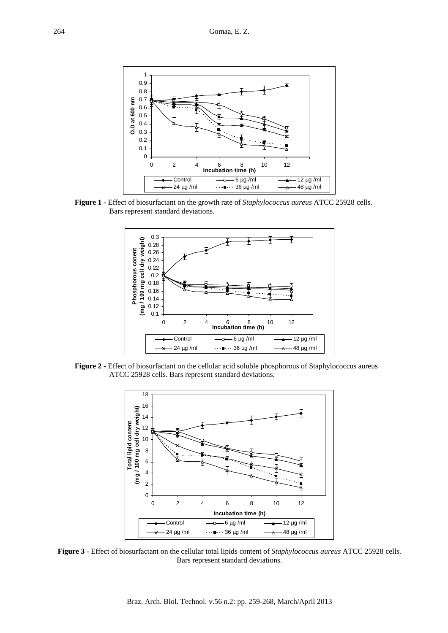

**Figure 1 -** Effect of biosurfactant on the growth rate of *Staphylococcus aureus* ATCC 25928 cells. Bars represent standard deviations.



**Figure 2 -** Effect of biosurfactant on the cellular acid soluble phosphorous of Staphylococcus aureus ATCC 25928 cells. Bars represent standard deviations.



**Figure 3** - Effect of biosurfactant on the cellular total lipids content of *Staphylococcus aureus* ATCC 25928 cells. Bars represent standard deviations.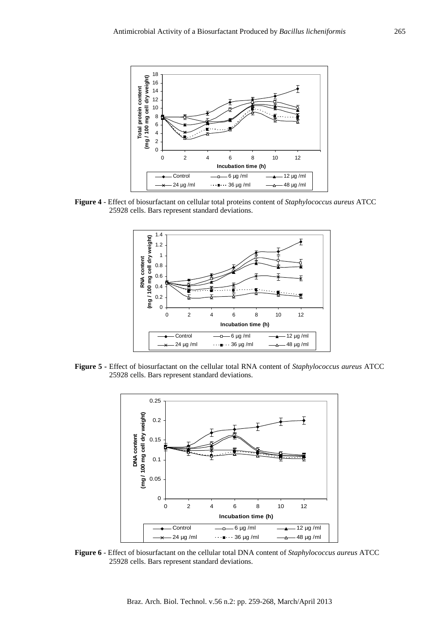

**Figure 4** - Effect of biosurfactant on cellular total proteins content of *Staphylococcus aureus* ATCC 25928 cells. Bars represent standard deviations.



**Figure 5 -** Effect of biosurfactant on the cellular total RNA content of *Staphylococcus aureus* ATCC 25928 cells. Bars represent standard deviations.



**Figure 6** - Effect of biosurfactant on the cellular total DNA content of *Staphylococcus aureus* ATCC 25928 cells. Bars represent standard deviations.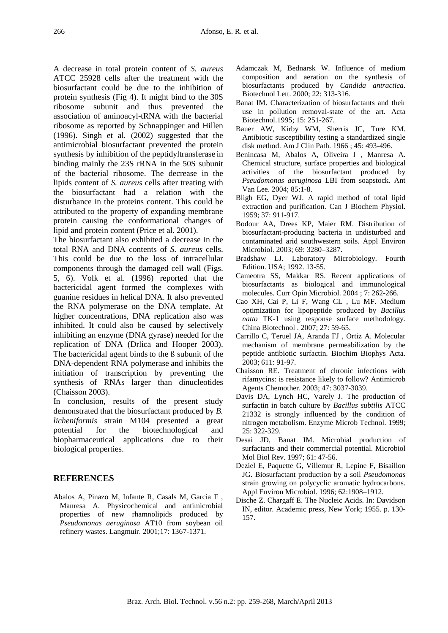A decrease in total protein content of *S. aureus*  ATCC 25928 cells after the treatment with the biosurfactant could be due to the inhibition of protein synthesis (Fig 4). It might bind to the 30S ribosome subunit and thus prevented the association of aminoacyl-tRNA with the bacterial ribosome as reported by Schnappinger and Hillen (1996). Singh et al*.* (2002) suggested that the antimicrobial biosurfactant prevented the protein synthesis by inhibition of the peptidyltransferase in binding mainly the 23S rRNA in the 50S subunit of the bacterial ribosome. The decrease in the lipids content of *S. aureus* cells after treating with the biosurfactant had a relation with the disturbance in the proteins content. This could be attributed to the property of expanding membrane protein causing the conformational changes of lipid and protein content (Price et al. 2001).

The biosurfactant also exhibited a decrease in the total RNA and DNA contents of *S. aureus* cells. This could be due to the loss of intracellular components through the damaged cell wall (Figs. 5, 6). Volk et al*.* (1996) reported that the bactericidal agent formed the complexes with guanine residues in helical DNA. It also prevented the RNA polymerase on the DNA template. At higher concentrations, DNA replication also was inhibited. It could also be caused by selectively inhibiting an enzyme (DNA gyrase) needed for the replication of DNA (Drlica and Hooper 2003). The bactericidal agent binds to the B subunit of the DNA-dependent RNA polymerase and inhibits the initiation of transcription by preventing the synthesis of RNAs larger than dinucleotides (Chaisson 2003).

In conclusion, results of the present study demonstrated that the biosurfactant produced by *B. licheniformis* strain M104 presented a great potential for the biotechnological and biopharmaceutical applications due to their biological properties.

#### **REFERENCES**

Abalos A, Pinazo M, Infante R, Casals M, Garcia F , Manresa A. Physicochemical and antimicrobial properties of new rhamnolipids produced by *Pseudomonas aeruginosa* AT10 from soybean oil refinery wastes. Langmuir. 2001;17: 1367-1371.

- Adamczak M, Bednarsk W. Influence of medium composition and aeration on the synthesis of biosurfactants produced by *Candida antractica*. Biotechnol Lett. 2000; 22: 313-316.
- Banat IM. Characterization of biosurfactants and their use in pollution removal-state of the art. Acta Biotechnol.1995; 15: 251-267.
- Bauer AW, Kirby WM, Sherris JC, Ture KM. Antibiotic susceptibility testing a standardized single disk method. Am J Clin Path. 1966 ; 45: 493-496.
- Benincasa M, Abalos A, Oliveira I , Manresa A. Chemical structure, surface properties and biological activities of the biosurfactant produced by *Pseudomonas aeruginosa* LBI from soapstock. Ant Van Lee. 2004; 85:1-8.
- Bligh EG, Dyer WJ. A rapid method of total lipid extraction and purification. Can J Biochem Physiol. 1959; 37: 911-917.
- Bodour AA, Drees KP, Maier RM. Distribution of biosurfactant-producing bacteria in undisturbed and contaminated arid southwestern soils. Appl Environ Microbiol. 2003; 69: 3280–3287.
- Bradshaw LJ. Laboratory Microbiology. Fourth Edition. USA; 1992. 13-55.
- Cameotra SS, Makkar RS. Recent applications of biosurfactants as biological and immunological molecules. Curr Opin Microbiol. 2004 ; 7: 262-266.
- Cao XH, Cai P, Li F, Wang CL , Lu MF. Medium optimization for lipopeptide produced by *Bacillus natto* TK-1 using response surface methodology. China Biotechnol . 2007; 27: 59-65.
- Carrillo C, Teruel JA, Aranda FJ , Ortiz A. Molecular mechanism of membrane permeabilization by the peptide antibiotic surfactin. Biochim Biophys Acta. 2003; 611: 91-97.
- Chaisson RE. Treatment of chronic infections with rifamycins: is resistance likely to follow? Antimicrob Agents Chemother. 2003; 47: 3037-3039.
- Davis DA, Lynch HC, Varely J. The production of surfactin in batch culture by *Bacillus subtilis* ATCC 21332 is strongly influenced by the condition of nitrogen metabolism. Enzyme Microb Technol. 1999; 25: 322-329.
- Desai JD, Banat IM. Microbial production of surfactants and their commercial potential. Microbiol Mol Biol Rev. 1997; 61: 47-56.
- Deziel E, Paquette G, Villemur R, Lepine F, Bisaillon JG. Biosurfactant production by a soil *Pseudomonas* strain growing on polycyclic aromatic hydrocarbons. Appl Environ Microbiol. 1996; 62:1908–1912.
- Dische Z. Chargaff E. The Nucleic Acids. In: Davidson IN, editor. Academic press, New York; 1955. p. 130- 157.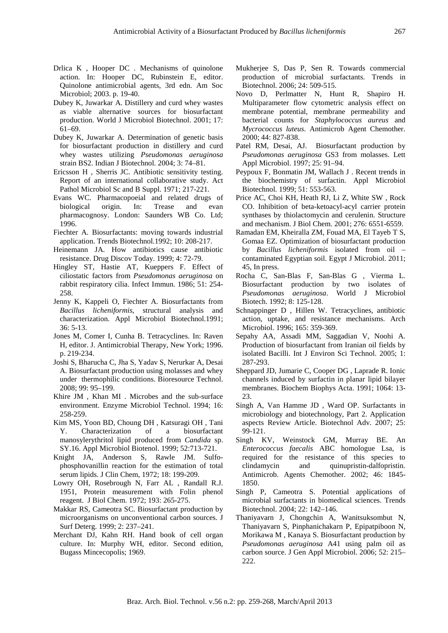- Drlica K , Hooper DC . Mechanisms of quinolone action. In: Hooper DC, Rubinstein E, editor. Quinolone antimicrobial agents, 3rd edn. Am Soc Microbiol; 2003. p. 19-40.
- Dubey K, Juwarkar A. Distillery and curd whey wastes as viable alternative sources for biosurfactant production. World J Microbiol Biotechnol. 2001; 17: 61–69.
- Dubey K, Juwarkar A. Determination of genetic basis for biosurfactant production in distillery and curd whey wastes utilizing *Pseudomonas aeruginosa*  strain BS2. Indian J Biotechnol. 2004; 3: 74–81.
- Ericsson H , Sherris JC. Antibiotic sensitivity testing. Report of an international collaborative study. Act Pathol Microbiol Sc and B Suppl. 1971; 217-221.
- Evans WC. Pharmacopoeial and related drugs of biological origin. In: Trease and evan pharmacognosy. London: Saunders WB Co. Ltd; 1996.
- Fiechter A. Biosurfactants: moving towards industrial application. Trends Biotechnol.1992; 10: 208-217.
- Heinemann JA. How antibiotics cause antibiotic resistance. Drug Discov Today. 1999; 4: 72-79.
- Hingley ST, Hastie AT, Kueppers F. Effect of ciliostatic factors from *Pseudomonas aeruginosa* on rabbit respiratory cilia. Infect Immun. 1986; 51: 254- 258.
- Jenny K, Kappeli O, Fiechter A. Biosurfactants from *Bacillus licheniformis*, structural analysis and characterization. Appl Microbiol Biotechnol.1991; 36: 5-13.
- Jones M, Comer I, Cunha B. Tetracyclines. In: Raven H, editor. J. Antimicrobial Therapy, New York; 1996. p. 219-234.
- Joshi S, Bharucha C, Jha S, Yadav S, Nerurkar A, Desai A. Biosurfactant production using molasses and whey under thermophilic conditions. Bioresource Technol. 2008; 99: 95–199.
- Khire JM , Khan MI . Microbes and the sub-surface environment. Enzyme Microbiol Technol. 1994; 16: 258-259.
- Kim MS, Yoon BD, Choung DH , Katsuragi OH , Tani Y. Characterization of a biosurfactant manosylerythritol lipid produced from *Candida* sp. SY.16. Appl Microbiol Biotenol. 1999; 52:713-721.
- Knight JA, Anderson S, Rawle JM. Sulfophosphovanillin reaction for the estimation of total serum lipids. J Clin Chem, 1972; 18: 199-209.
- Lowry OH, Rosebrough N, Farr AL , Randall R.J. 1951, Protein measurement with Folin phenol reagent. J Biol Chem. 1972; 193: 265-275.
- Makkar RS, Cameotra SC. Biosurfactant production by microorganisms on unconventional carbon sources. J Surf Deterg. 1999; 2: 237–241.
- Merchant DJ, Kahn RH. Hand book of cell organ culture. In: Murphy WH, editor. Second edition, Bugass Mincecopolis; 1969.
- Mukherjee S, Das P, Sen R. Towards commercial production of microbial surfactants. Trends in Biotechnol. 2006; 24: 509-515.
- Novo D, Perlmatter N, Hunt R, Shapiro H. Multiparameter flow cytometric analysis effect on membrane potential, membrane permeability and bacterial counts for *Staphylococcus aureus* and *Mycrococcus luteus*. Antimicrob Agent Chemother. 2000; 44: 827-838.
- Patel RM, Desai, AJ. Biosurfactant production by *Pseudomonas aeruginosa* GS3 from molasses. Lett Appl Microbiol. 1997; 25: 91–94.
- Peypoux F, Bonmatin JM, Wallach J . Recent trends in the biochemistry of surfactin. Appl Microbiol Biotechnol. 1999; 51: 553-563.
- Price AC, Choi KH, Heath RJ, Li Z, White SW , Rock CO. Inhibition of beta-ketoacyl-acyl carrier protein synthases by thiolactomycin and cerulenin. Structure and mechanism. J Biol Chem. 2001; 276: 6551-6559.
- Ramadan EM, Kheiralla ZM, Fouad MA, El Tayeb T S, Gomaa EZ. Optimization of biosurfactant production by *Bacillus licheniformis* isolated from oil – contaminated Egyptian soil. Egypt J Microbiol. 2011; 45, In press.
- Rocha C, San-Blas F, San-Blas G , Vierma L. Biosurfactant production by two isolates of *Pseudomonas aeruginosa*. World J Microbiol Biotech. 1992; 8: 125-128.
- Schnappinger D , Hillen W. Tetracyclines, antibiotic action, uptake, and resistance mechanisms. Arch Microbiol. 1996; 165: 359-369.
- Sepahy AA, Assadi MM, Saggadian V, Noohi A. Production of biosurfactant from Iranian oil fields by isolated Bacilli. Int J Environ Sci Technol. 2005; 1: 287-293.
- Sheppard JD, Jumarie C, Cooper DG , Laprade R. Ionic channels induced by surfactin in planar lipid bilayer membranes. Biochem Biophys Acta. 1991; 1064: 13- 23.
- Singh A, Van Hamme JD , Ward OP. Surfactants in microbiology and biotechnology, Part 2. Application aspects Review Article. Biotechnol Adv. 2007; 25: 99-121.
- Singh KV, Weinstock GM, Murray BE. An *Enterococcus faecalis* ABC homologue Lsa, is required for the resistance of this species to clindamycin and quinupristin-dalfopristin. Antimicrob. Agents Chemother. 2002; 46: 1845- 1850.
- Singh P, Cameotra S. Potential applications of microbial surfactants in biomedical sciences. Trends Biotechnol. 2004; 22: 142–146.
- Thaniyavarn J, Chongchin A, Wanitsuksombut N, Thaniyavarn S, Pinphanichakarn P, Epipatpiboon N, Morikawa M , Kanaya S. Biosurfactant production by *Pseudomonas aeruginosa* A41 using palm oil as carbon source. J Gen Appl Microbiol. 2006; 52: 215– 222.